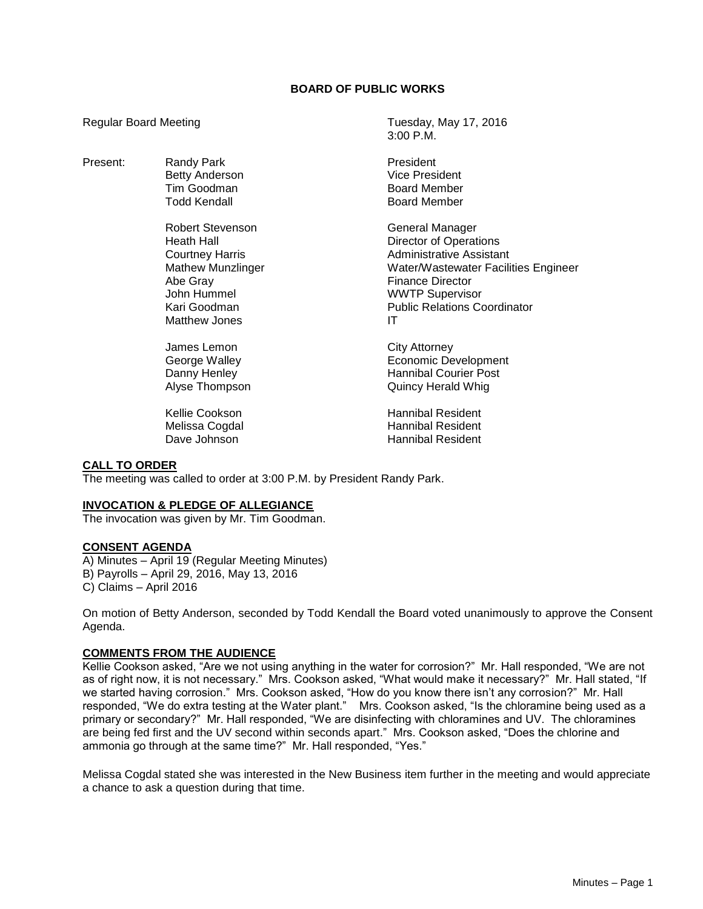# **BOARD OF PUBLIC WORKS**

3:00 P.M.

Regular Board Meeting Tuesday, May 17, 2016

| Present: | Randy Park               | President                            |
|----------|--------------------------|--------------------------------------|
|          | <b>Betty Anderson</b>    | <b>Vice President</b>                |
|          | Tim Goodman              | <b>Board Member</b>                  |
|          | <b>Todd Kendall</b>      | <b>Board Member</b>                  |
|          | <b>Robert Stevenson</b>  | General Manager                      |
|          | Heath Hall               | <b>Director of Operations</b>        |
|          | <b>Courtney Harris</b>   | <b>Administrative Assistant</b>      |
|          | <b>Mathew Munzlinger</b> | Water/Wastewater Facilities Engineer |
|          | Abe Gray                 | <b>Finance Director</b>              |
|          | John Hummel              | <b>WWTP Supervisor</b>               |
|          | Kari Goodman             | <b>Public Relations Coordinator</b>  |
|          | Matthew Jones            | IT                                   |
|          |                          |                                      |
|          | James Lemon              | City Attorney                        |
|          | George Walley            | Economic Development                 |
|          | Danny Henley             | <b>Hannibal Courier Post</b>         |
|          | Alyse Thompson           | <b>Quincy Herald Whig</b>            |
|          | Kellie Cookson           | <b>Hannibal Resident</b>             |
|          | Melissa Cogdal           | <b>Hannibal Resident</b>             |

Dave Johnson **Manual Resident** 

# **CALL TO ORDER**

The meeting was called to order at 3:00 P.M. by President Randy Park.

#### **INVOCATION & PLEDGE OF ALLEGIANCE**

The invocation was given by Mr. Tim Goodman.

#### **CONSENT AGENDA**

A) Minutes – April 19 (Regular Meeting Minutes) B) Payrolls – April 29, 2016, May 13, 2016 C) Claims – April 2016

On motion of Betty Anderson, seconded by Todd Kendall the Board voted unanimously to approve the Consent Agenda.

### **COMMENTS FROM THE AUDIENCE**

Kellie Cookson asked, "Are we not using anything in the water for corrosion?" Mr. Hall responded, "We are not as of right now, it is not necessary." Mrs. Cookson asked, "What would make it necessary?" Mr. Hall stated, "If we started having corrosion." Mrs. Cookson asked, "How do you know there isn't any corrosion?" Mr. Hall responded, "We do extra testing at the Water plant." Mrs. Cookson asked, "Is the chloramine being used as a primary or secondary?" Mr. Hall responded, "We are disinfecting with chloramines and UV. The chloramines are being fed first and the UV second within seconds apart." Mrs. Cookson asked, "Does the chlorine and ammonia go through at the same time?" Mr. Hall responded, "Yes."

Melissa Cogdal stated she was interested in the New Business item further in the meeting and would appreciate a chance to ask a question during that time.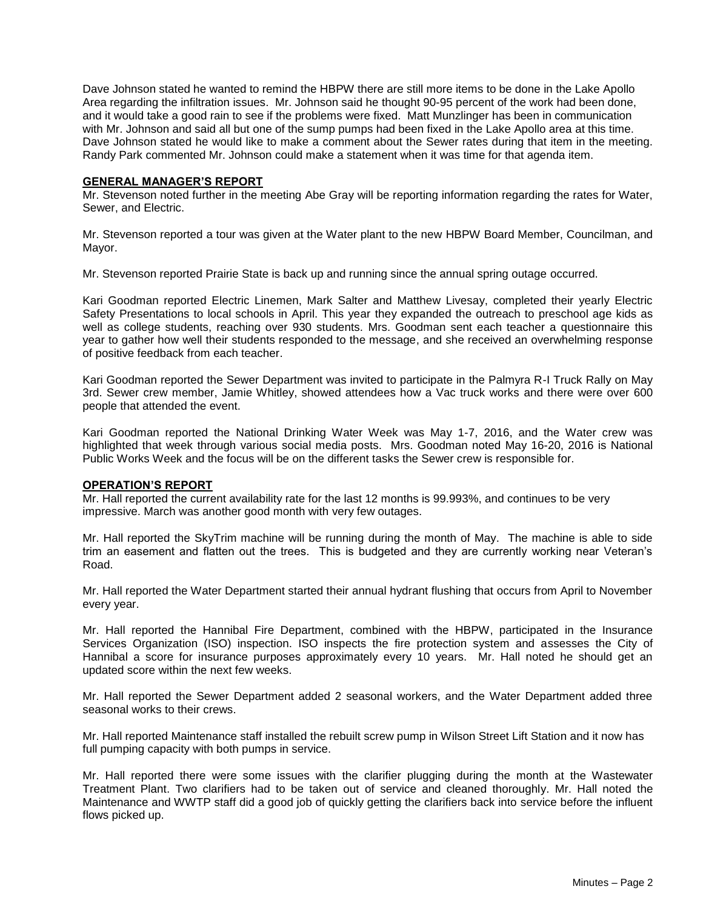Dave Johnson stated he wanted to remind the HBPW there are still more items to be done in the Lake Apollo Area regarding the infiltration issues. Mr. Johnson said he thought 90-95 percent of the work had been done, and it would take a good rain to see if the problems were fixed. Matt Munzlinger has been in communication with Mr. Johnson and said all but one of the sump pumps had been fixed in the Lake Apollo area at this time. Dave Johnson stated he would like to make a comment about the Sewer rates during that item in the meeting. Randy Park commented Mr. Johnson could make a statement when it was time for that agenda item.

### **GENERAL MANAGER'S REPORT**

Mr. Stevenson noted further in the meeting Abe Gray will be reporting information regarding the rates for Water, Sewer, and Electric.

Mr. Stevenson reported a tour was given at the Water plant to the new HBPW Board Member, Councilman, and Mayor.

Mr. Stevenson reported Prairie State is back up and running since the annual spring outage occurred.

Kari Goodman reported Electric Linemen, Mark Salter and Matthew Livesay, completed their yearly Electric Safety Presentations to local schools in April. This year they expanded the outreach to preschool age kids as well as college students, reaching over 930 students. Mrs. Goodman sent each teacher a questionnaire this year to gather how well their students responded to the message, and she received an overwhelming response of positive feedback from each teacher.

Kari Goodman reported the Sewer Department was invited to participate in the Palmyra R-I Truck Rally on May 3rd. Sewer crew member, Jamie Whitley, showed attendees how a Vac truck works and there were over 600 people that attended the event.

Kari Goodman reported the National Drinking Water Week was May 1-7, 2016, and the Water crew was highlighted that week through various social media posts. Mrs. Goodman noted May 16-20, 2016 is National Public Works Week and the focus will be on the different tasks the Sewer crew is responsible for.

### **OPERATION'S REPORT**

Mr. Hall reported the current availability rate for the last 12 months is 99.993%, and continues to be very impressive. March was another good month with very few outages.

Mr. Hall reported the SkyTrim machine will be running during the month of May. The machine is able to side trim an easement and flatten out the trees. This is budgeted and they are currently working near Veteran's Road.

Mr. Hall reported the Water Department started their annual hydrant flushing that occurs from April to November every year.

Mr. Hall reported the Hannibal Fire Department, combined with the HBPW, participated in the Insurance Services Organization (ISO) inspection. ISO inspects the fire protection system and assesses the City of Hannibal a score for insurance purposes approximately every 10 years. Mr. Hall noted he should get an updated score within the next few weeks.

Mr. Hall reported the Sewer Department added 2 seasonal workers, and the Water Department added three seasonal works to their crews.

Mr. Hall reported Maintenance staff installed the rebuilt screw pump in Wilson Street Lift Station and it now has full pumping capacity with both pumps in service.

Mr. Hall reported there were some issues with the clarifier plugging during the month at the Wastewater Treatment Plant. Two clarifiers had to be taken out of service and cleaned thoroughly. Mr. Hall noted the Maintenance and WWTP staff did a good job of quickly getting the clarifiers back into service before the influent flows picked up.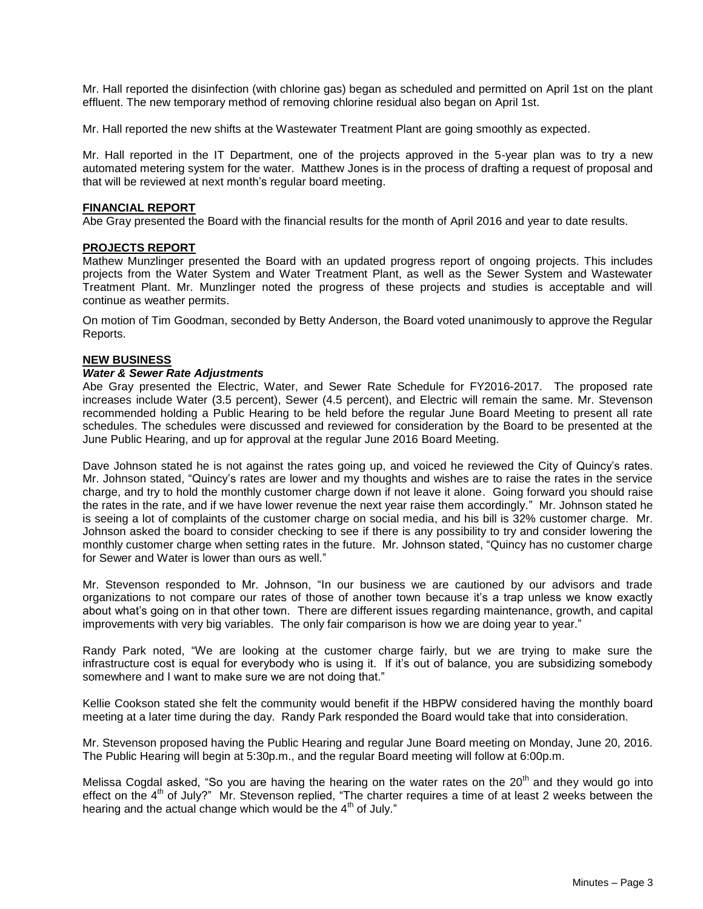Mr. Hall reported the disinfection (with chlorine gas) began as scheduled and permitted on April 1st on the plant effluent. The new temporary method of removing chlorine residual also began on April 1st.

Mr. Hall reported the new shifts at the Wastewater Treatment Plant are going smoothly as expected.

Mr. Hall reported in the IT Department, one of the projects approved in the 5-year plan was to try a new automated metering system for the water. Matthew Jones is in the process of drafting a request of proposal and that will be reviewed at next month's regular board meeting.

### **FINANCIAL REPORT**

Abe Gray presented the Board with the financial results for the month of April 2016 and year to date results.

### **PROJECTS REPORT**

Mathew Munzlinger presented the Board with an updated progress report of ongoing projects. This includes projects from the Water System and Water Treatment Plant, as well as the Sewer System and Wastewater Treatment Plant. Mr. Munzlinger noted the progress of these projects and studies is acceptable and will continue as weather permits.

On motion of Tim Goodman, seconded by Betty Anderson, the Board voted unanimously to approve the Regular Reports.

## **NEW BUSINESS**

### *Water & Sewer Rate Adjustments*

Abe Gray presented the Electric, Water, and Sewer Rate Schedule for FY2016-2017. The proposed rate increases include Water (3.5 percent), Sewer (4.5 percent), and Electric will remain the same. Mr. Stevenson recommended holding a Public Hearing to be held before the regular June Board Meeting to present all rate schedules. The schedules were discussed and reviewed for consideration by the Board to be presented at the June Public Hearing, and up for approval at the regular June 2016 Board Meeting.

Dave Johnson stated he is not against the rates going up, and voiced he reviewed the City of Quincy's rates. Mr. Johnson stated, "Quincy's rates are lower and my thoughts and wishes are to raise the rates in the service charge, and try to hold the monthly customer charge down if not leave it alone. Going forward you should raise the rates in the rate, and if we have lower revenue the next year raise them accordingly." Mr. Johnson stated he is seeing a lot of complaints of the customer charge on social media, and his bill is 32% customer charge. Mr. Johnson asked the board to consider checking to see if there is any possibility to try and consider lowering the monthly customer charge when setting rates in the future. Mr. Johnson stated, "Quincy has no customer charge for Sewer and Water is lower than ours as well."

Mr. Stevenson responded to Mr. Johnson, "In our business we are cautioned by our advisors and trade organizations to not compare our rates of those of another town because it's a trap unless we know exactly about what's going on in that other town. There are different issues regarding maintenance, growth, and capital improvements with very big variables. The only fair comparison is how we are doing year to year."

Randy Park noted, "We are looking at the customer charge fairly, but we are trying to make sure the infrastructure cost is equal for everybody who is using it. If it's out of balance, you are subsidizing somebody somewhere and I want to make sure we are not doing that."

Kellie Cookson stated she felt the community would benefit if the HBPW considered having the monthly board meeting at a later time during the day. Randy Park responded the Board would take that into consideration.

Mr. Stevenson proposed having the Public Hearing and regular June Board meeting on Monday, June 20, 2016. The Public Hearing will begin at 5:30p.m., and the regular Board meeting will follow at 6:00p.m.

Melissa Cogdal asked, "So you are having the hearing on the water rates on the 20<sup>th</sup> and they would go into effect on the 4<sup>th</sup> of July?" Mr. Stevenson replied, "The charter requires a time of at least 2 weeks between the hearing and the actual change which would be the  $4<sup>th</sup>$  of July."